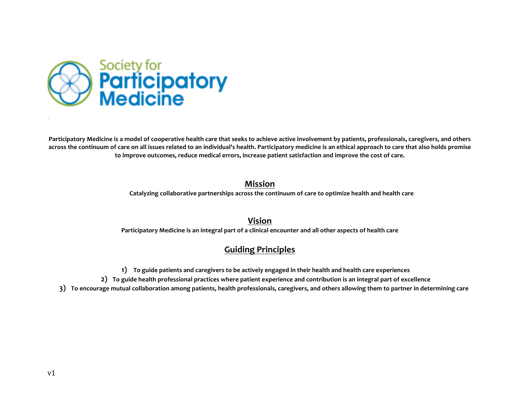

Participatory Medicine is a model of cooperative health care that seeks to achieve active involvement by patients, professionals, caregivers, and others across the continuum of care on all issues related to an individual's health. Participatory medicine is an ethical approach to care that also holds promise to improve outcomes, reduce medical errors, increase patient satisfaction and improve the cost of care.

## **Mission**

Catalyzing collaborative partnerships across the continuum of care to optimize health and health care

**Vision**

**Participatory Medicine is an integral part of a clinical encounter and all other aspects of health care**

## **Guiding Principles**

- **1) To guide patients and caregivers to be actively engaged in their health and health care experiences**
- 2) To guide health professional practices where patient experience and contribution is an integral part of excellence
- 3) To encourage mutual collaboration among patients, health professionals, caregivers, and others allowing them to partner in determining care

.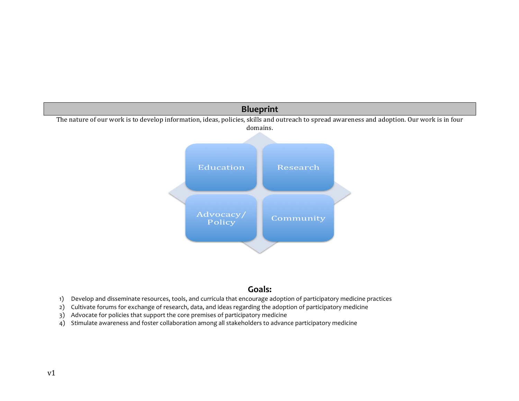

## **Goals:**

- 1) Develop and disseminate resources, tools, and curricula that encourage adoption of participatory medicine practices
- 2) Cultivate forums for exchange of research, data, and ideas regarding the adoption of participatory medicine
- 3) Advocate for policies that support the core premises of participatory medicine
- 4) Stimulate awareness and foster collaboration among all stakeholders to advance participatory medicine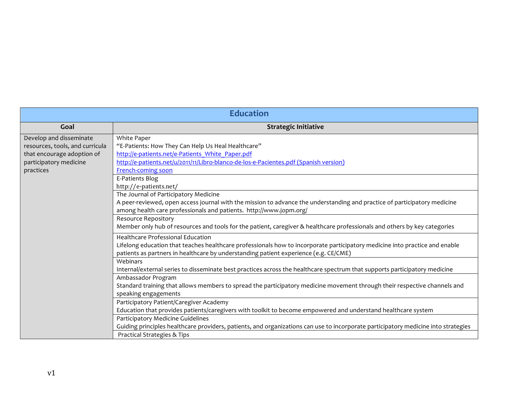| <b>Education</b>                                                                                                                |                                                                                                                                                                                                                                                                                       |  |
|---------------------------------------------------------------------------------------------------------------------------------|---------------------------------------------------------------------------------------------------------------------------------------------------------------------------------------------------------------------------------------------------------------------------------------|--|
| Goal                                                                                                                            | <b>Strategic Initiative</b>                                                                                                                                                                                                                                                           |  |
| Develop and disseminate<br>resources, tools, and curricula<br>that encourage adoption of<br>participatory medicine<br>practices | White Paper<br>"E-Patients: How They Can Help Us Heal Healthcare"<br>http://e-patients.net/e-Patients White Paper.pdf<br>http://e-patients.net/u/2011/11/Libro-blanco-de-los-e-Pacientes.pdf (Spanish version)<br>French-coming soon                                                  |  |
|                                                                                                                                 | E-Patients Blog<br>http://e-patients.net/<br>The Journal of Participatory Medicine<br>A peer-reviewed, open access journal with the mission to advance the understanding and practice of participatory medicine<br>among health care professionals and patients. http://www.jopm.org/ |  |
|                                                                                                                                 | <b>Resource Repository</b><br>Member only hub of resources and tools for the patient, caregiver & healthcare professionals and others by key categories                                                                                                                               |  |
|                                                                                                                                 | <b>Healthcare Professional Education</b><br>Lifelong education that teaches healthcare professionals how to incorporate participatory medicine into practice and enable<br>patients as partners in healthcare by understanding patient experience (e.g. CE/CME)                       |  |
|                                                                                                                                 | Webinars<br>Internal/external series to disseminate best practices across the healthcare spectrum that supports participatory medicine                                                                                                                                                |  |
|                                                                                                                                 | Ambassador Program<br>Standard training that allows members to spread the participatory medicine movement through their respective channels and<br>speaking engagements                                                                                                               |  |
|                                                                                                                                 | Participatory Patient/Caregiver Academy<br>Education that provides patients/caregivers with toolkit to become empowered and understand healthcare system                                                                                                                              |  |
|                                                                                                                                 | Participatory Medicine Guidelines<br>Guiding principles healthcare providers, patients, and organizations can use to incorporate participatory medicine into strategies<br>Practical Strategies & Tips                                                                                |  |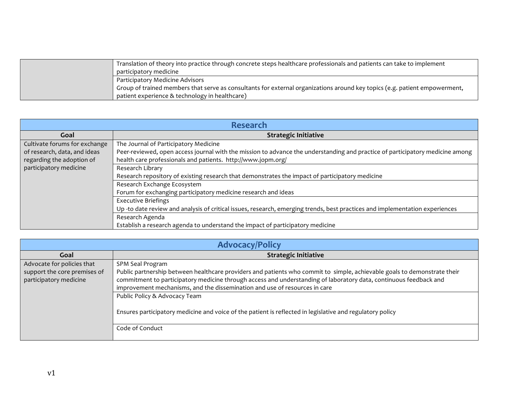| Translation of theory into practice through concrete steps healthcare professionals and patients can take to implement<br>participatory medicine |
|--------------------------------------------------------------------------------------------------------------------------------------------------|
| Participatory Medicine Advisors                                                                                                                  |
| Group of trained members that serve as consultants for external organizations around key topics (e.g. patient empowerment,                       |
| patient experience & technology in healthcare)                                                                                                   |

| <b>Research</b>               |                                                                                                                               |  |
|-------------------------------|-------------------------------------------------------------------------------------------------------------------------------|--|
| Goal                          | <b>Strategic Initiative</b>                                                                                                   |  |
| Cultivate forums for exchange | The Journal of Participatory Medicine                                                                                         |  |
| of research, data, and ideas  | Peer-reviewed, open access journal with the mission to advance the understanding and practice of participatory medicine among |  |
| regarding the adoption of     | health care professionals and patients. http://www.jopm.org/                                                                  |  |
| participatory medicine        | Research Library                                                                                                              |  |
|                               | Research repository of existing research that demonstrates the impact of participatory medicine                               |  |
|                               | Research Exchange Ecosystem                                                                                                   |  |
|                               | Forum for exchanging participatory medicine research and ideas                                                                |  |
|                               | <b>Executive Briefings</b>                                                                                                    |  |
|                               | Up -to date review and analysis of critical issues, research, emerging trends, best practices and implementation experiences  |  |
|                               | Research Agenda                                                                                                               |  |
|                               | Establish a research agenda to understand the impact of participatory medicine                                                |  |

| <b>Advocacy/Policy</b>                                                               |                                                                                                                                                                                                                                                                                                                                                 |  |
|--------------------------------------------------------------------------------------|-------------------------------------------------------------------------------------------------------------------------------------------------------------------------------------------------------------------------------------------------------------------------------------------------------------------------------------------------|--|
| Goal                                                                                 | <b>Strategic Initiative</b>                                                                                                                                                                                                                                                                                                                     |  |
| Advocate for policies that<br>support the core premises of<br>participatory medicine | SPM Seal Program<br>Public partnership between healthcare providers and patients who commit to simple, achievable goals to demonstrate their<br>commitment to participatory medicine through access and understanding of laboratory data, continuous feedback and<br>improvement mechanisms, and the dissemination and use of resources in care |  |
|                                                                                      | Public Policy & Advocacy Team<br>Ensures participatory medicine and voice of the patient is reflected in legislative and regulatory policy<br>Code of Conduct                                                                                                                                                                                   |  |
|                                                                                      |                                                                                                                                                                                                                                                                                                                                                 |  |